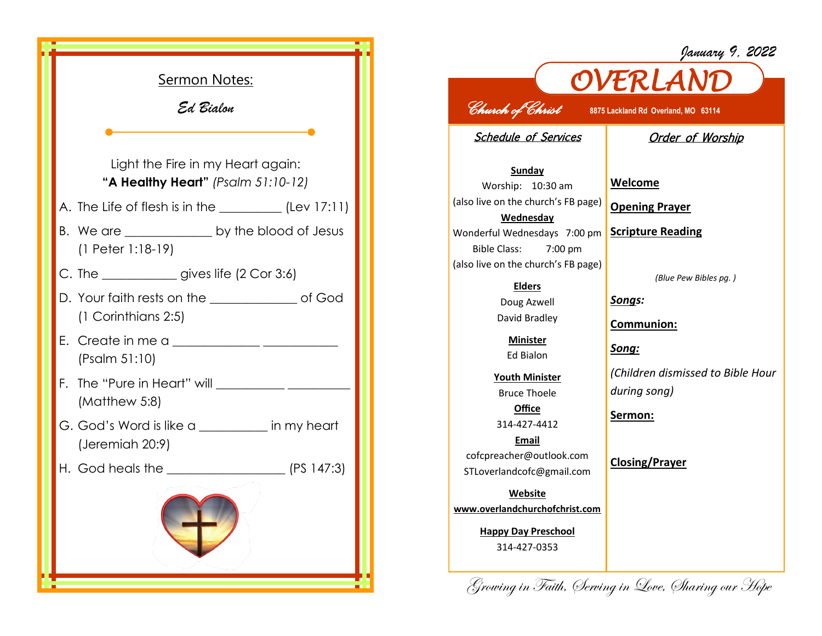|  | <u>Sermon Notes:</u>                                                       |  |
|--|----------------------------------------------------------------------------|--|
|  | Ed Bialon                                                                  |  |
|  |                                                                            |  |
|  | Light the Fire in my Heart again:<br>"A Healthy Heart" (Psalm $51:10-12$ ) |  |
|  | A. The Life of flesh is in the $\_\_\_\_\_\_\_\_\_\$ (Lev 17:11)           |  |
|  | (1 Peter 1:18-19)                                                          |  |
|  | C. The ______________gives life (2 Cor 3:6)                                |  |
|  | D. Your faith rests on the ________________ of God<br>(1 Corinthians 2:5)  |  |
|  | (Psalm 51:10)                                                              |  |
|  | F.<br>(Matthew 5:8)                                                        |  |
|  | G. God's Word is like a _________ in my heart<br>(Jeremiah 20:9)           |  |
|  |                                                                            |  |
|  |                                                                            |  |

## *OVERLAND Church of Christ* **8875 Lackland Rd Overland, MO 63114**

Schedule of Services

## Order of Worship

*January 9, 2022*

**Sunday** Worship: 10:30 am (also live on the church's FB page) **Wednesday** Wonderful Wednesdays 7:00 pm Bible Class: 7:00 pm (also live on the church's FB page)

> **Elders** Doug Azwell David Bradley

> > **Minister** Ed Bialon

**Youth Minister** Bruce Thoele **Office**

314-427-4412

**Email** cofcpreacher@outlook.com STLoverlandcofc@gmail.com

**Website www.overlandchurchofchrist.com**

> **Happy Day Preschool** 314-427-0353

**Welcome**

**Opening Prayer**

**Scripture Reading**

*(Blue Pew Bibles pg. )*

*Songs:*

**Communion:**

*Song:*

*(Children dismissed to Bible Hour during song)*

**Sermon:** 

**Closing/Prayer**

Growing in Faith, Serving in Love, Sharing our Hope